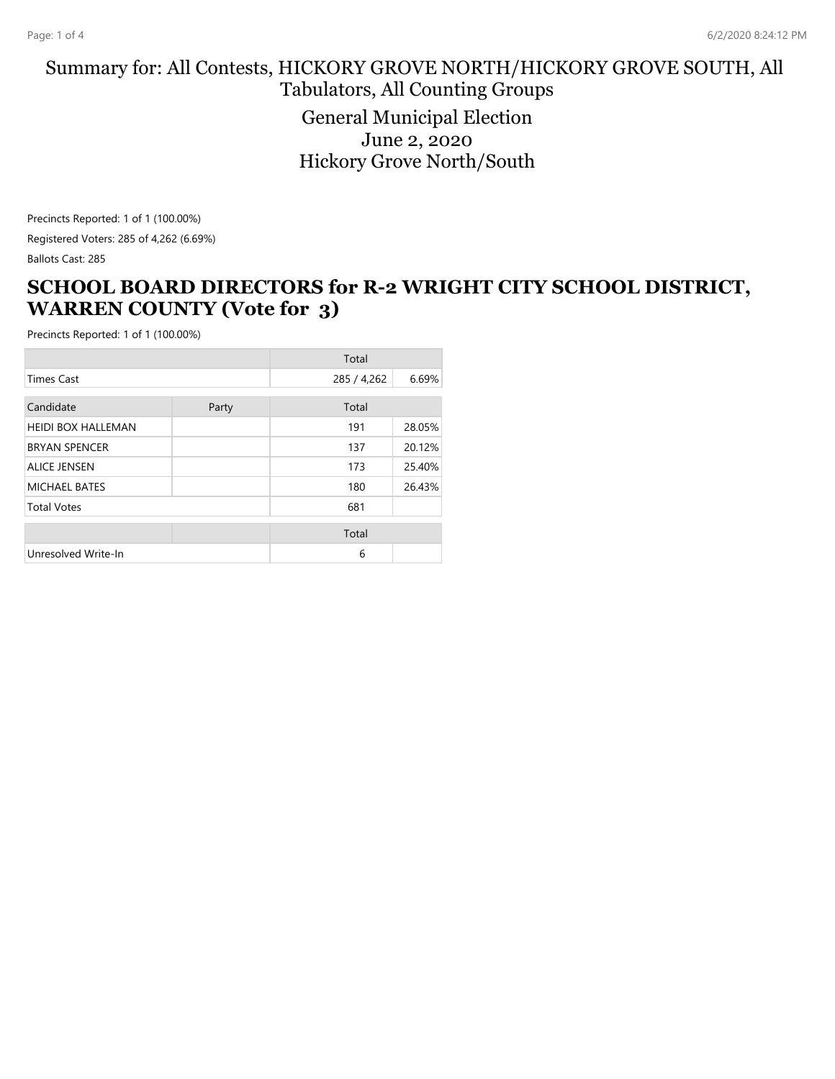#### Summary for: All Contests, HICKORY GROVE NORTH/HICKORY GROVE SOUTH, All Tabulators, All Counting Groups General Municipal Election June 2, 2020 Hickory Grove North/South

Precincts Reported: 1 of 1 (100.00%) Registered Voters: 285 of 4,262 (6.69%) Ballots Cast: 285

#### **SCHOOL BOARD DIRECTORS for R-2 WRIGHT CITY SCHOOL DISTRICT, WARREN COUNTY (Vote for 3)**

|                           |       | Total       |        |
|---------------------------|-------|-------------|--------|
| <b>Times Cast</b>         |       | 285 / 4,262 | 6.69%  |
| Candidate                 | Party | Total       |        |
| <b>HEIDI BOX HALLEMAN</b> |       | 191         | 28.05% |
| <b>BRYAN SPENCER</b>      |       | 137         | 20.12% |
| <b>ALICE JENSEN</b>       |       | 173         | 25.40% |
| MICHAEL BATES             |       | 180         | 26.43% |
| <b>Total Votes</b>        |       | 681         |        |
|                           |       | Total       |        |
| Unresolved Write-In       |       | 6           |        |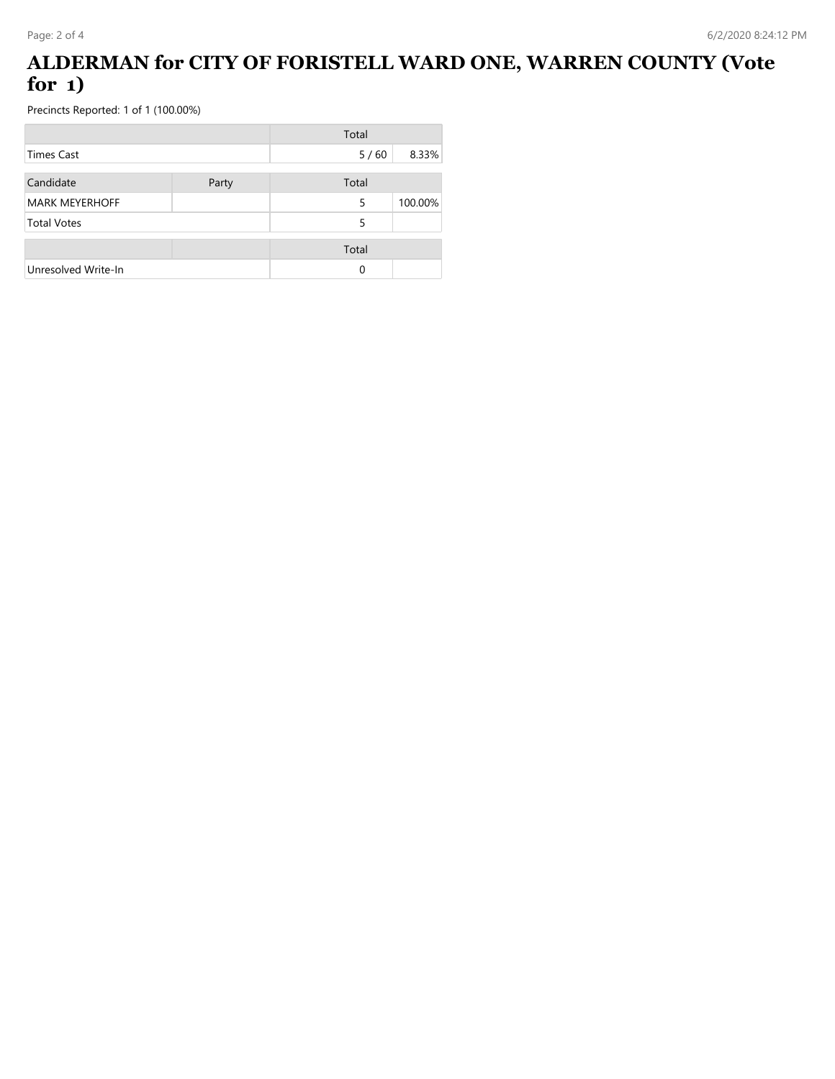# **ALDERMAN for CITY OF FORISTELL WARD ONE, WARREN COUNTY (Vote for 1)**

|                       |       | Total  |         |
|-----------------------|-------|--------|---------|
| Times Cast            |       | $5/60$ | 8.33%   |
| Candidate             | Party | Total  |         |
| <b>MARK MEYERHOFF</b> |       | 5      | 100.00% |
| <b>Total Votes</b>    |       | 5      |         |
|                       |       | Total  |         |
| Unresolved Write-In   |       | 0      |         |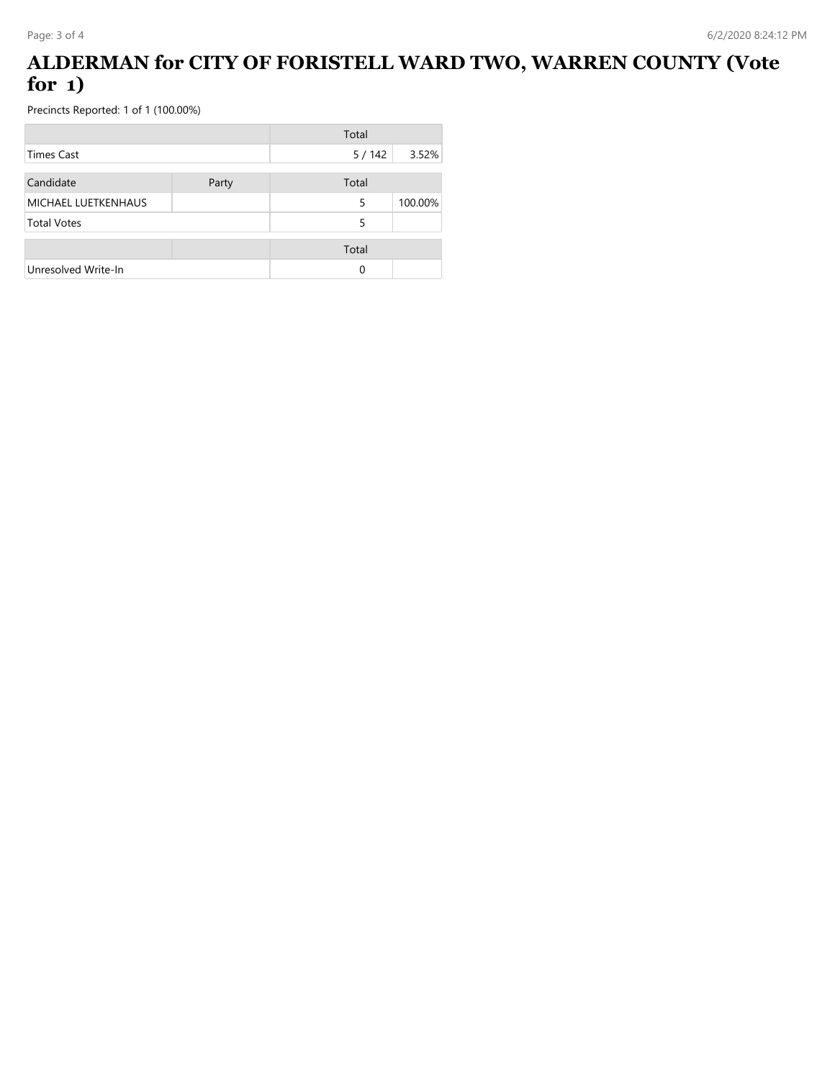# **ALDERMAN for CITY OF FORISTELL WARD TWO, WARREN COUNTY (Vote for 1)**

|                     |       | Total |         |
|---------------------|-------|-------|---------|
| Times Cast          |       | 5/142 | 3.52%   |
| Candidate           | Party | Total |         |
| MICHAEL LUETKENHAUS |       | 5     | 100.00% |
| <b>Total Votes</b>  |       | 5     |         |
|                     |       | Total |         |
| Unresolved Write-In |       | 0     |         |